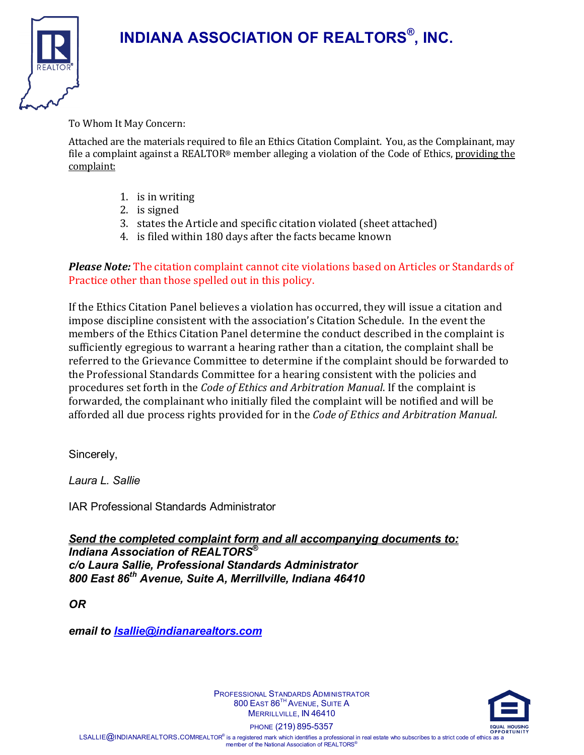

#### To Whom It May Concern:

Attached are the materials required to file an Ethics Citation Complaint. You, as the Complainant, may file a complaint against a REALTOR® member alleging a violation of the Code of Ethics, providing the complaint:

- 1. is in writing
- 2. is signed
- 3. states the Article and specific citation violated (sheet attached)
- 4. is filed within 180 days after the facts became known

#### *Please Note:* The citation complaint cannot cite violations based on Articles or Standards of Practice other than those spelled out in this policy.

If the Ethics Citation Panel believes a violation has occurred, they will issue a citation and impose discipline consistent with the association's Citation Schedule. In the event the members of the Ethics Citation Panel determine the conduct described in the complaint is sufficiently egregious to warrant a hearing rather than a citation, the complaint shall be referred to the Grievance Committee to determine if the complaint should be forwarded to the Professional Standards Committee for a hearing consistent with the policies and procedures set forth in the *Code of Ethics and Arbitration Manual*. If the complaint is forwarded, the complainant who initially filed the complaint will be notified and will be afforded all due process rights provided for in the *Code of Ethics and Arbitration Manual.*

Sincerely,

*Laura L. Sallie*

IAR Professional Standards Administrator

*Send the completed complaint form and all accompanying documents to: Indiana Association of REALTORS® c/o Laura Sallie, Professional Standards Administrator 800 East 86th Avenue, Suite A, Merrillville, Indiana 46410*

*OR* 

*email to [lsallie@indianarealtors.com](mailto:lsallie@indianarealtors.com)*



PROFESSIONAL STANDARDS ADMINISTRATOR 800 EAST 86<sup>TH</sup> AVENUE, SUITE A MERRILLVILLE, IN 46410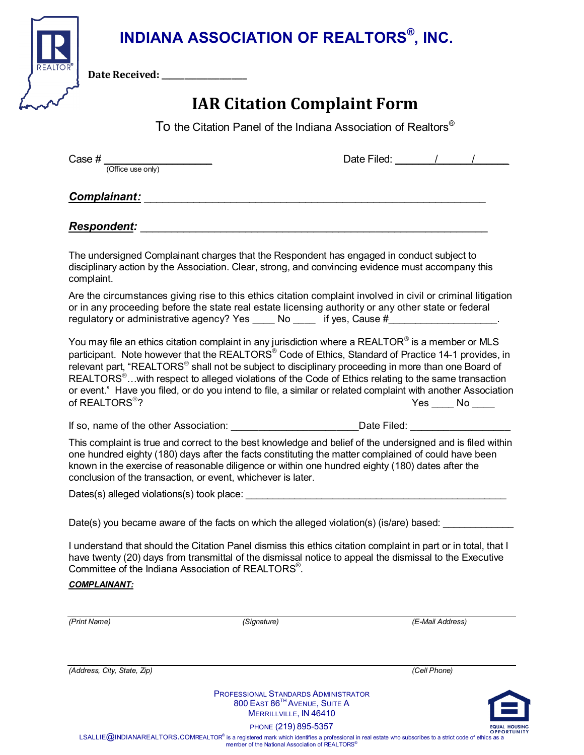**Date Received: \_\_\_\_\_\_\_\_\_\_\_\_\_\_\_\_\_\_\_\_\_\_**

## **IAR Citation Complaint Form**

To the Citation Panel of the Indiana Association of Realtors<sup>®</sup>

Case  $\#\frac{1}{\text{(Office use only)}}$  Date Filed:  $\frac{1}{\text{Order}}$ 

## **Complainant:**  $\blacksquare$

### *Respondent:* \_\_\_\_\_\_\_\_\_\_\_\_\_\_\_\_\_\_\_\_\_\_\_\_\_\_\_\_\_\_\_\_\_\_\_\_\_\_\_\_\_\_\_\_\_\_\_\_\_\_\_\_\_\_\_\_

The undersigned Complainant charges that the Respondent has engaged in conduct subject to disciplinary action by the Association. Clear, strong, and convincing evidence must accompany this complaint.

Are the circumstances giving rise to this ethics citation complaint involved in civil or criminal litigation or in any proceeding before the state real estate licensing authority or any other state or federal regulatory or administrative agency? Yes \_\_\_\_\_ No \_\_\_\_\_ if yes, Cause #\_\_\_\_\_\_\_\_\_\_

You may file an ethics citation complaint in any jurisdiction where a REALTOR<sup>®</sup> is a member or MLS participant. Note however that the REALTORS<sup>®</sup> Code of Ethics, Standard of Practice 14-1 provides, in relevant part, "REALTORS<sup>®</sup> shall not be subject to disciplinary proceeding in more than one Board of REALTORS<sup>®</sup>...with respect to alleged violations of the Code of Ethics relating to the same transaction or event." Have you filed, or do you intend to file, a similar or related complaint with another Association of REALTORS®? No set that the set of  $\mathsf{NEALTORS}^{\circledast}$  ?

If so, name of the other Association: example and a part of the other Association:  $\Box$  at a part of the other Association:

This complaint is true and correct to the best knowledge and belief of the undersigned and is filed within one hundred eighty (180) days after the facts constituting the matter complained of could have been known in the exercise of reasonable diligence or within one hundred eighty (180) dates after the conclusion of the transaction, or event, whichever is later.

Dates(s) alleged violations(s) took place:

Date(s) you became aware of the facts on which the alleged violation(s) (is/are) based:

I understand that should the Citation Panel dismiss this ethics citation complaint in part or in total, that I have twenty (20) days from transmittal of the dismissal notice to appeal the dismissal to the Executive Committee of the Indiana Association of REALTORS® .

#### *COMPLAINANT:*

| (Print Name)                | (Signature) | (E-Mail Address) |
|-----------------------------|-------------|------------------|
|                             |             |                  |
|                             |             |                  |
|                             |             |                  |
|                             |             |                  |
| (Address, City, State, Zip) |             | (Cell Phone)     |
|                             |             |                  |
|                             |             |                  |



PROFESSIONAL STANDARDS ADMINISTRATOR 800 EAST 86<sup>TH</sup> AVENUE, SUITE A MERRILLVILLE, IN 46410

PHONE (219) 895-5357

LSALLIE **Q**INDIANAREALTORS.COMREALTOR<sup>®</sup> is a registered mark which identifies a professional in real estate who subscribes to a strict code of ethics as a member of the National Association of REALTORS®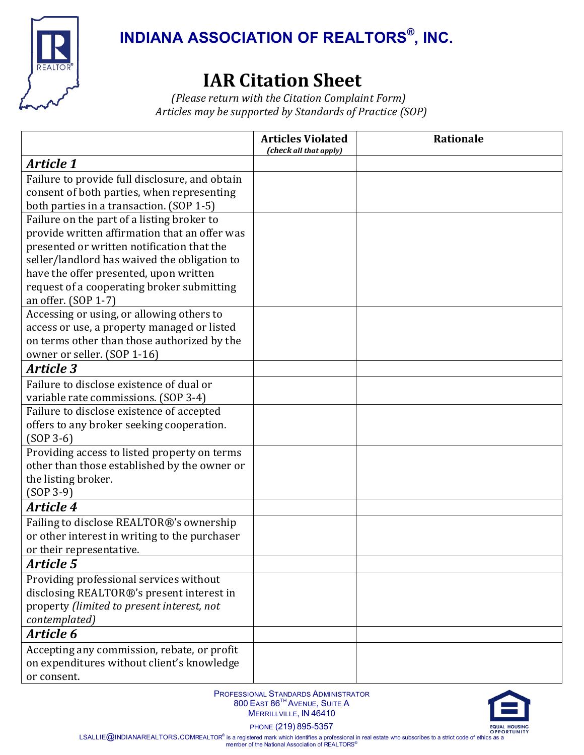

# **IAR Citation Sheet** *(Please return with the Citation Complaint Form)*

*Articles may be supported by Standards of Practice (SOP)*

|                                                                                                                                                                                                                                                                                                          | <b>Articles Violated</b><br>(check all that apply) | Rationale |
|----------------------------------------------------------------------------------------------------------------------------------------------------------------------------------------------------------------------------------------------------------------------------------------------------------|----------------------------------------------------|-----------|
| <b>Article 1</b>                                                                                                                                                                                                                                                                                         |                                                    |           |
| Failure to provide full disclosure, and obtain<br>consent of both parties, when representing<br>both parties in a transaction. (SOP 1-5)                                                                                                                                                                 |                                                    |           |
| Failure on the part of a listing broker to<br>provide written affirmation that an offer was<br>presented or written notification that the<br>seller/landlord has waived the obligation to<br>have the offer presented, upon written<br>request of a cooperating broker submitting<br>an offer. (SOP 1-7) |                                                    |           |
| Accessing or using, or allowing others to<br>access or use, a property managed or listed<br>on terms other than those authorized by the<br>owner or seller. (SOP 1-16)                                                                                                                                   |                                                    |           |
| <b>Article 3</b>                                                                                                                                                                                                                                                                                         |                                                    |           |
| Failure to disclose existence of dual or<br>variable rate commissions. (SOP 3-4)                                                                                                                                                                                                                         |                                                    |           |
| Failure to disclose existence of accepted<br>offers to any broker seeking cooperation.<br>$(SOP 3-6)$                                                                                                                                                                                                    |                                                    |           |
| Providing access to listed property on terms<br>other than those established by the owner or<br>the listing broker.<br>$(SOP 3-9)$                                                                                                                                                                       |                                                    |           |
| <b>Article 4</b>                                                                                                                                                                                                                                                                                         |                                                    |           |
| Failing to disclose REALTOR®'s ownership<br>or other interest in writing to the purchaser<br>or their representative.                                                                                                                                                                                    |                                                    |           |
| <b>Article 5</b>                                                                                                                                                                                                                                                                                         |                                                    |           |
| Providing professional services without<br>disclosing REALTOR®'s present interest in<br>property (limited to present interest, not<br>contemplated)                                                                                                                                                      |                                                    |           |
| Article 6                                                                                                                                                                                                                                                                                                |                                                    |           |
| Accepting any commission, rebate, or profit<br>on expenditures without client's knowledge<br>or consent.                                                                                                                                                                                                 |                                                    |           |



PHONE (219) 895-5357